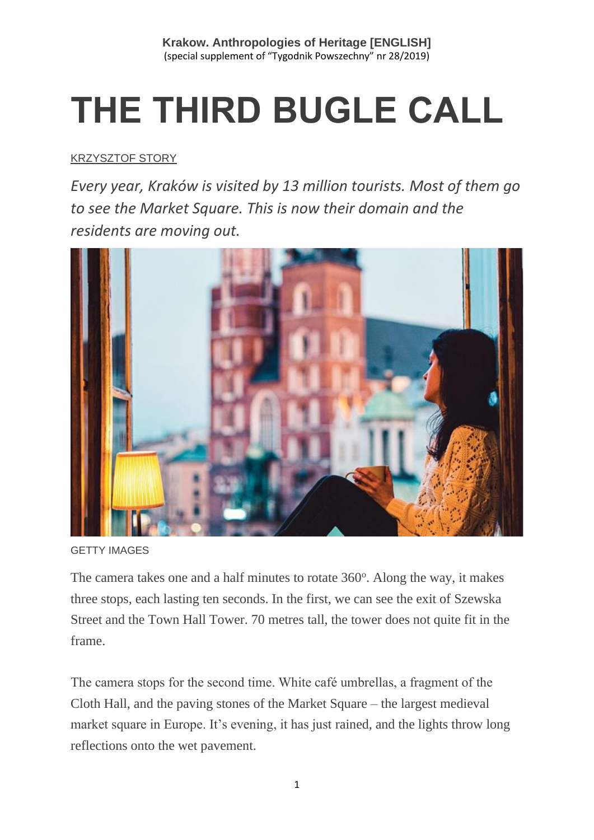# **THE THIRD BUGLE CALL**

### [KRZYSZTOF STORY](https://www.tygodnikpowszechny.pl/autor/krzysztof-story-16205)

*Every year, Kraków is visited by 13 million tourists. Most of them go to see the Market Square. This is now their domain and the residents are moving out.*



GETTY IMAGES

The camera takes one and a half minutes to rotate 360°. Along the way, it makes three stops, each lasting ten seconds. In the first, we can see the exit of Szewska Street and the Town Hall Tower. 70 metres tall, the tower does not quite fit in the frame.

The camera stops for the second time. White café umbrellas, a fragment of the Cloth Hall, and the paving stones of the Market Square – the largest medieval market square in Europe. It's evening, it has just rained, and the lights throw long reflections onto the wet pavement.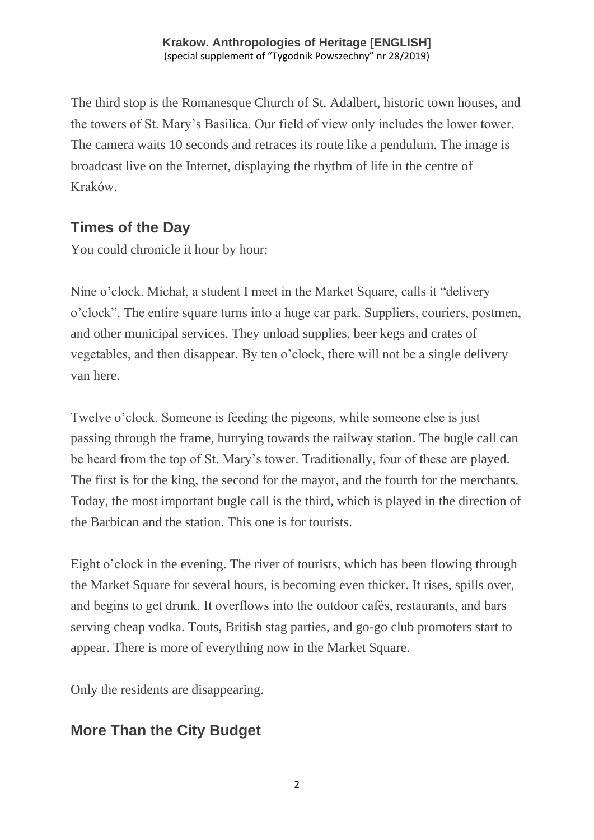The third stop is the Romanesque Church of St. Adalbert, historic town houses, and the towers of St. Mary's Basilica. Our field of view only includes the lower tower. The camera waits 10 seconds and retraces its route like a pendulum. The image is broadcast live on the Internet, displaying the rhythm of life in the centre of Kraków.

## **Times of the Day**

You could chronicle it hour by hour:

Nine o'clock. Michał, a student I meet in the Market Square, calls it "delivery o'clock". The entire square turns into a huge car park. Suppliers, couriers, postmen, and other municipal services. They unload supplies, beer kegs and crates of vegetables, and then disappear. By ten o'clock, there will not be a single delivery van here.

Twelve o'clock. Someone is feeding the pigeons, while someone else is just passing through the frame, hurrying towards the railway station. The bugle call can be heard from the top of St. Mary's tower. Traditionally, four of these are played. The first is for the king, the second for the mayor, and the fourth for the merchants. Today, the most important bugle call is the third, which is played in the direction of the Barbican and the station. This one is for tourists.

Eight o'clock in the evening. The river of tourists, which has been flowing through the Market Square for several hours, is becoming even thicker. It rises, spills over, and begins to get drunk. It overflows into the outdoor cafés, restaurants, and bars serving cheap vodka. Touts, British stag parties, and go-go club promoters start to appear. There is more of everything now in the Market Square.

Only the residents are disappearing.

# **More Than the City Budget**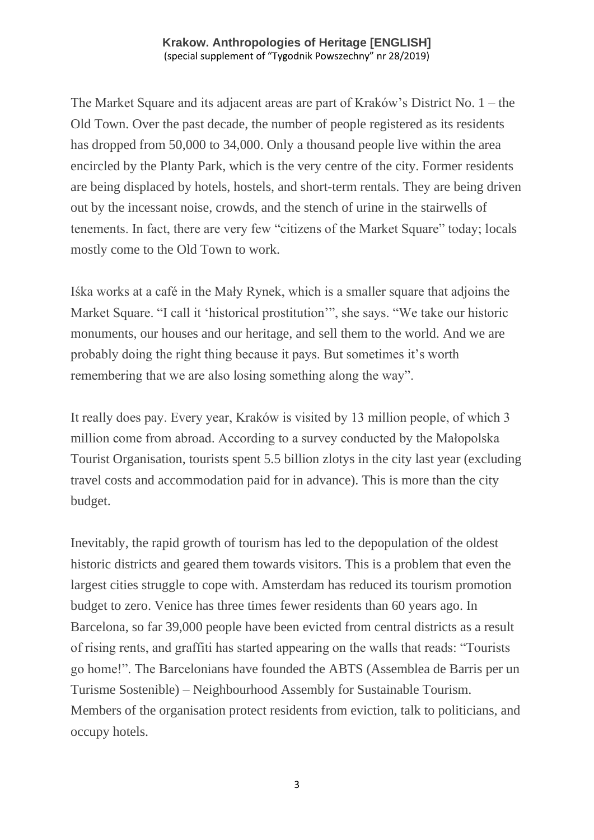The Market Square and its adjacent areas are part of Kraków's District No. 1 – the Old Town. Over the past decade, the number of people registered as its residents has dropped from 50,000 to 34,000. Only a thousand people live within the area encircled by the Planty Park, which is the very centre of the city. Former residents are being displaced by hotels, hostels, and short-term rentals. They are being driven out by the incessant noise, crowds, and the stench of urine in the stairwells of tenements. In fact, there are very few "citizens of the Market Square" today; locals mostly come to the Old Town to work.

Iśka works at a café in the Mały Rynek, which is a smaller square that adjoins the Market Square. "I call it 'historical prostitution'", she says. "We take our historic monuments, our houses and our heritage, and sell them to the world. And we are probably doing the right thing because it pays. But sometimes it's worth remembering that we are also losing something along the way".

It really does pay. Every year, Kraków is visited by 13 million people, of which 3 million come from abroad. According to a survey conducted by the Małopolska Tourist Organisation, tourists spent 5.5 billion zlotys in the city last year (excluding travel costs and accommodation paid for in advance). This is more than the city budget.

Inevitably, the rapid growth of tourism has led to the depopulation of the oldest historic districts and geared them towards visitors. This is a problem that even the largest cities struggle to cope with. Amsterdam has reduced its tourism promotion budget to zero. Venice has three times fewer residents than 60 years ago. In Barcelona, so far 39,000 people have been evicted from central districts as a result of rising rents, and graffiti has started appearing on the walls that reads: "Tourists go home!". The Barcelonians have founded the ABTS (Assemblea de Barris per un Turisme Sostenible) – Neighbourhood Assembly for Sustainable Tourism. Members of the organisation protect residents from eviction, talk to politicians, and occupy hotels.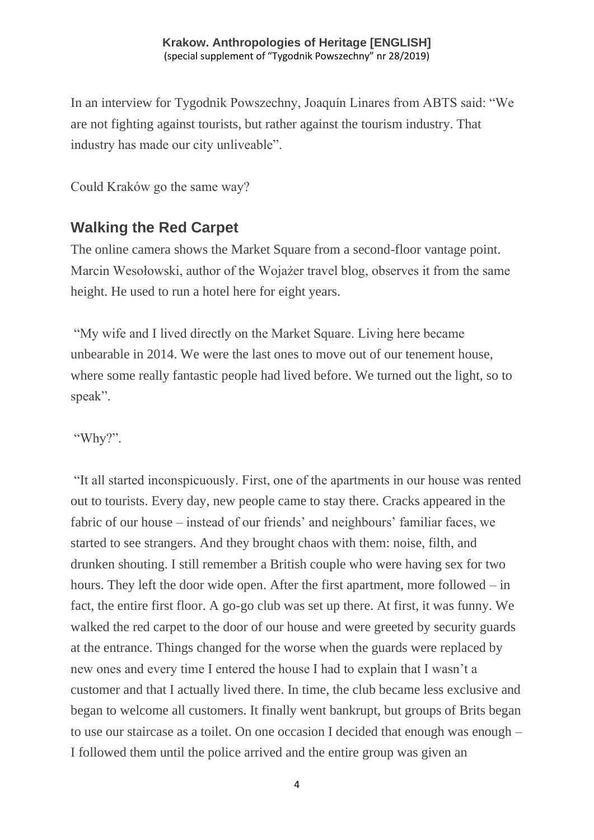In an interview for Tygodnik Powszechny, Joaquín Linares from ABTS said: "We are not fighting against tourists, but rather against the tourism industry. That industry has made our city unliveable".

Could Kraków go the same way?

## **Walking the Red Carpet**

The online camera shows the Market Square from a second-floor vantage point. Marcin Wesołowski, author of the Wojażer travel blog, observes it from the same height. He used to run a hotel here for eight years.

"My wife and I lived directly on the Market Square. Living here became unbearable in 2014. We were the last ones to move out of our tenement house, where some really fantastic people had lived before. We turned out the light, so to speak".

"Why?".

"It all started inconspicuously. First, one of the apartments in our house was rented out to tourists. Every day, new people came to stay there. Cracks appeared in the fabric of our house – instead of our friends' and neighbours' familiar faces, we started to see strangers. And they brought chaos with them: noise, filth, and drunken shouting. I still remember a British couple who were having sex for two hours. They left the door wide open. After the first apartment, more followed – in fact, the entire first floor. A go-go club was set up there. At first, it was funny. We walked the red carpet to the door of our house and were greeted by security guards at the entrance. Things changed for the worse when the guards were replaced by new ones and every time I entered the house I had to explain that I wasn't a customer and that I actually lived there. In time, the club became less exclusive and began to welcome all customers. It finally went bankrupt, but groups of Brits began to use our staircase as a toilet. On one occasion I decided that enough was enough – I followed them until the police arrived and the entire group was given an

4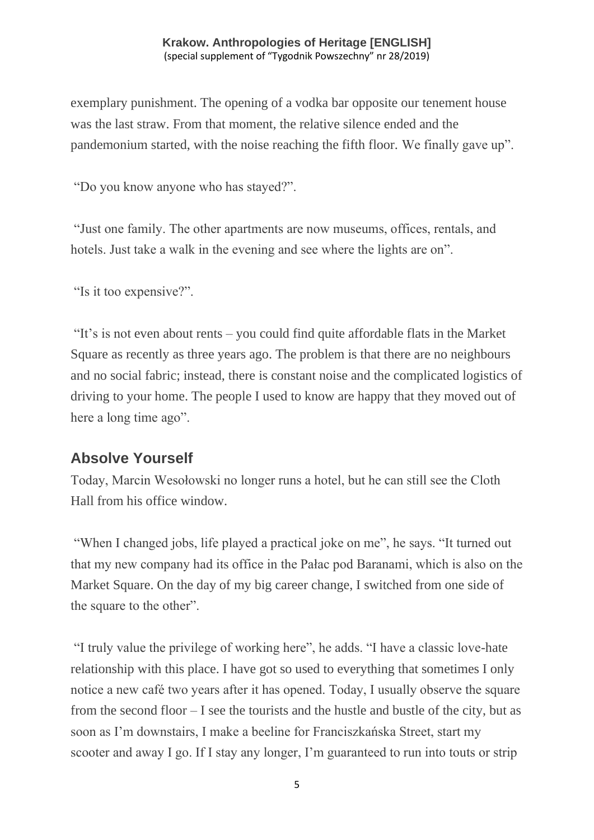exemplary punishment. The opening of a vodka bar opposite our tenement house was the last straw. From that moment, the relative silence ended and the pandemonium started, with the noise reaching the fifth floor. We finally gave up".

"Do you know anyone who has stayed?".

"Just one family. The other apartments are now museums, offices, rentals, and hotels. Just take a walk in the evening and see where the lights are on".

"Is it too expensive?".

"It's is not even about rents – you could find quite affordable flats in the Market Square as recently as three years ago. The problem is that there are no neighbours and no social fabric; instead, there is constant noise and the complicated logistics of driving to your home. The people I used to know are happy that they moved out of here a long time ago".

#### **Absolve Yourself**

Today, Marcin Wesołowski no longer runs a hotel, but he can still see the Cloth Hall from his office window.

"When I changed jobs, life played a practical joke on me", he says. "It turned out that my new company had its office in the Pałac pod Baranami, which is also on the Market Square. On the day of my big career change, I switched from one side of the square to the other".

"I truly value the privilege of working here", he adds. "I have a classic love-hate relationship with this place. I have got so used to everything that sometimes I only notice a new café two years after it has opened. Today, I usually observe the square from the second floor – I see the tourists and the hustle and bustle of the city, but as soon as I'm downstairs, I make a beeline for Franciszkańska Street, start my scooter and away I go. If I stay any longer, I'm guaranteed to run into touts or strip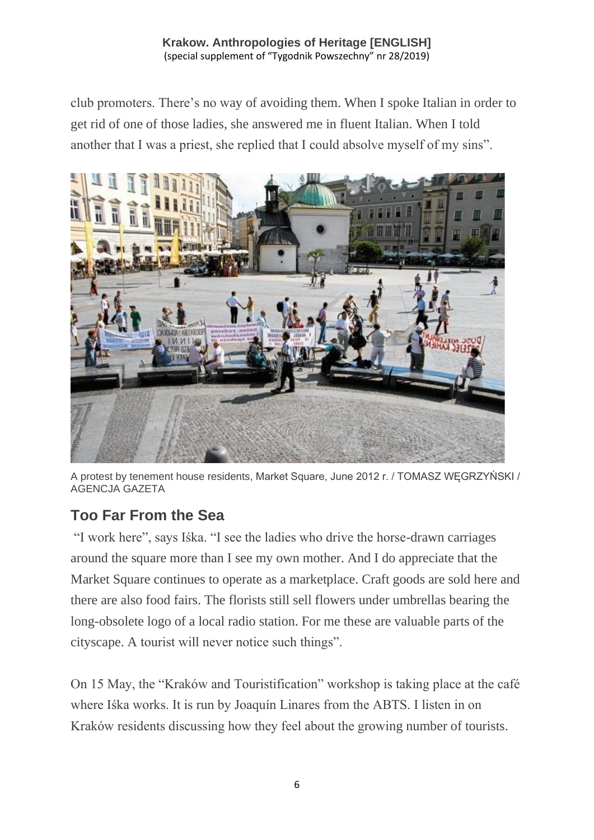club promoters. There's no way of avoiding them. When I spoke Italian in order to get rid of one of those ladies, she answered me in fluent Italian. When I told another that I was a priest, she replied that I could absolve myself of my sins".



A protest by tenement house residents, Market Square, June 2012 r. / TOMASZ WĘGRZYŃSKI / AGENCJA GAZETA

## **Too Far From the Sea**

"I work here", says Iśka. "I see the ladies who drive the horse-drawn carriages around the square more than I see my own mother. And I do appreciate that the Market Square continues to operate as a marketplace. Craft goods are sold here and there are also food fairs. The florists still sell flowers under umbrellas bearing the long-obsolete logo of a local radio station. For me these are valuable parts of the cityscape. A tourist will never notice such things".

On 15 May, the "Kraków and Touristification" workshop is taking place at the café where Iśka works. It is run by Joaquín Linares from the ABTS. I listen in on Kraków residents discussing how they feel about the growing number of tourists.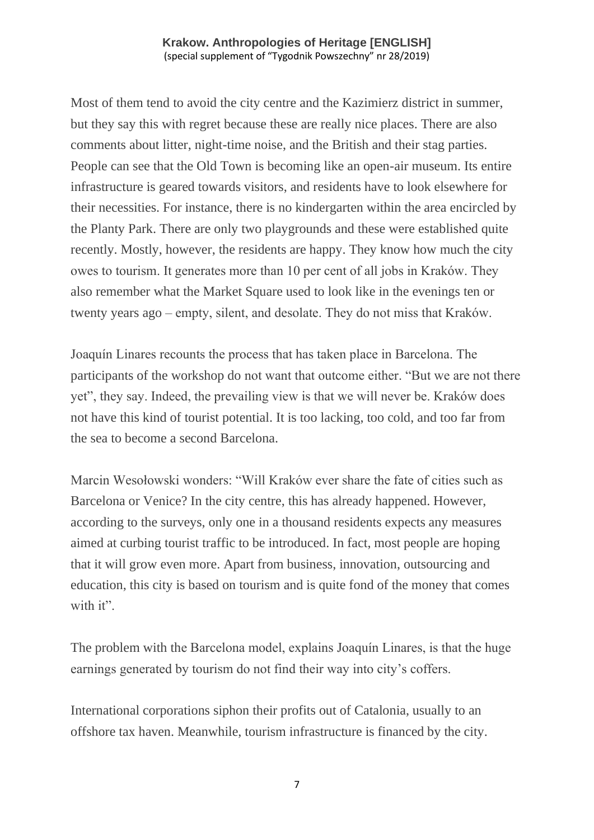Most of them tend to avoid the city centre and the Kazimierz district in summer, but they say this with regret because these are really nice places. There are also comments about litter, night-time noise, and the British and their stag parties. People can see that the Old Town is becoming like an open-air museum. Its entire infrastructure is geared towards visitors, and residents have to look elsewhere for their necessities. For instance, there is no kindergarten within the area encircled by the Planty Park. There are only two playgrounds and these were established quite recently. Mostly, however, the residents are happy. They know how much the city owes to tourism. It generates more than 10 per cent of all jobs in Kraków. They also remember what the Market Square used to look like in the evenings ten or twenty years ago – empty, silent, and desolate. They do not miss that Kraków.

Joaquín Linares recounts the process that has taken place in Barcelona. The participants of the workshop do not want that outcome either. "But we are not there yet", they say. Indeed, the prevailing view is that we will never be. Kraków does not have this kind of tourist potential. It is too lacking, too cold, and too far from the sea to become a second Barcelona.

Marcin Wesołowski wonders: "Will Kraków ever share the fate of cities such as Barcelona or Venice? In the city centre, this has already happened. However, according to the surveys, only one in a thousand residents expects any measures aimed at curbing tourist traffic to be introduced. In fact, most people are hoping that it will grow even more. Apart from business, innovation, outsourcing and education, this city is based on tourism and is quite fond of the money that comes with it".

The problem with the Barcelona model, explains Joaquín Linares, is that the huge earnings generated by tourism do not find their way into city's coffers.

International corporations siphon their profits out of Catalonia, usually to an offshore tax haven. Meanwhile, tourism infrastructure is financed by the city.

7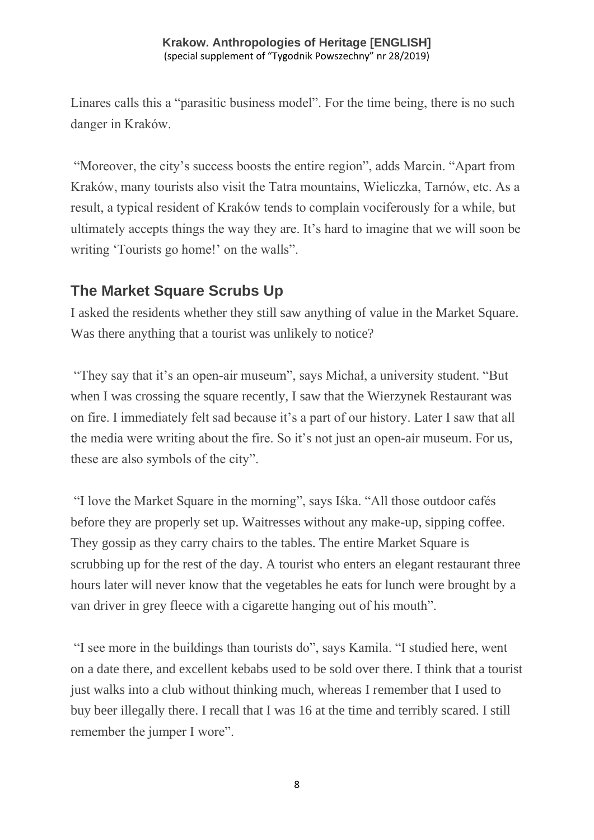Linares calls this a "parasitic business model". For the time being, there is no such danger in Kraków.

"Moreover, the city's success boosts the entire region", adds Marcin. "Apart from Kraków, many tourists also visit the Tatra mountains, Wieliczka, Tarnów, etc. As a result, a typical resident of Kraków tends to complain vociferously for a while, but ultimately accepts things the way they are. It's hard to imagine that we will soon be writing 'Tourists go home!' on the walls".

## **The Market Square Scrubs Up**

I asked the residents whether they still saw anything of value in the Market Square. Was there anything that a tourist was unlikely to notice?

"They say that it's an open-air museum", says Michał, a university student. "But when I was crossing the square recently, I saw that the Wierzynek Restaurant was on fire. I immediately felt sad because it's a part of our history. Later I saw that all the media were writing about the fire. So it's not just an open-air museum. For us, these are also symbols of the city".

"I love the Market Square in the morning", says Iśka. "All those outdoor cafés before they are properly set up. Waitresses without any make-up, sipping coffee. They gossip as they carry chairs to the tables. The entire Market Square is scrubbing up for the rest of the day. A tourist who enters an elegant restaurant three hours later will never know that the vegetables he eats for lunch were brought by a van driver in grey fleece with a cigarette hanging out of his mouth".

"I see more in the buildings than tourists do", says Kamila. "I studied here, went on a date there, and excellent kebabs used to be sold over there. I think that a tourist just walks into a club without thinking much, whereas I remember that I used to buy beer illegally there. I recall that I was 16 at the time and terribly scared. I still remember the jumper I wore".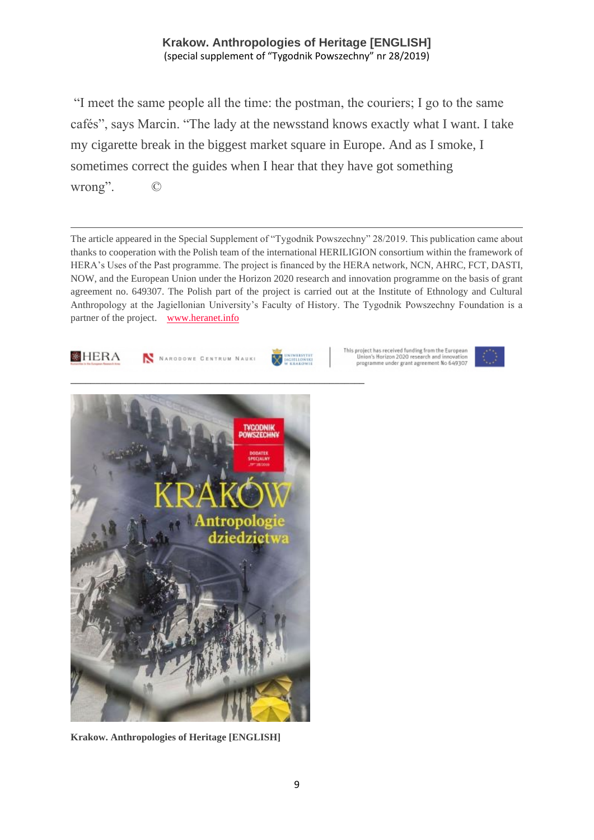"I meet the same people all the time: the postman, the couriers; I go to the same cafés", says Marcin. "The lady at the newsstand knows exactly what I want. I take my cigarette break in the biggest market square in Europe. And as I smoke, I sometimes correct the guides when I hear that they have got something wrong". ©

The article appeared in the Special Supplement of "Tygodnik Powszechny" 28/2019. This publication came about thanks to cooperation with the Polish team of the international HERILIGION consortium within the framework of HERA's Uses of the Past programme. The project is financed by the HERA network, NCN, AHRC, FCT, DASTI, NOW, and the European Union under the Horizon 2020 research and innovation programme on the basis of grant agreement no. 649307. The Polish part of the project is carried out at the Institute of Ethnology and Cultural Anthropology at the Jagiellonian University's Faculty of History. The Tygodnik Powszechny Foundation is a partner of the project. [www.heranet.info](http://www.heranet.info/)



**Krakow. Anthropologies of Heritage [ENGLISH]**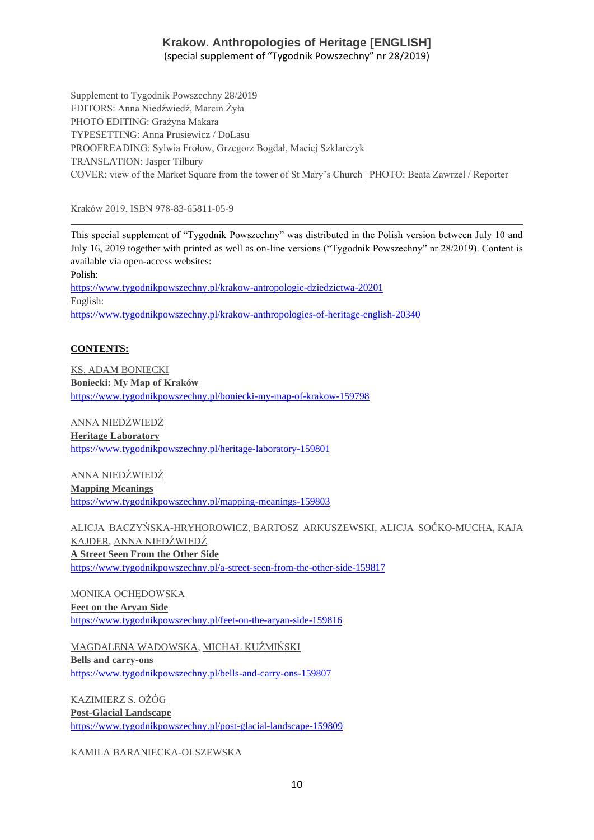Supplement to Tygodnik Powszechny 28/2019 EDITORS: Anna Niedźwiedź, Marcin Żyła PHOTO EDITING: Grażyna Makara TYPESETTING: Anna Prusiewicz / DoLasu

PROOFREADING: Sylwia Frołow, Grzegorz Bogdał, Maciej Szklarczyk TRANSLATION: Jasper Tilbury COVER: view of the Market Square from the tower of St Mary's Church | PHOTO: Beata Zawrzel / Reporter

Kraków 2019, ISBN 978-83-65811-05-9

This special supplement of "Tygodnik Powszechny" was distributed in the Polish version between July 10 and July 16, 2019 together with printed as well as on-line versions ("Tygodnik Powszechny" nr 28/2019). Content is available via open-access websites: Polish: <https://www.tygodnikpowszechny.pl/krakow-antropologie-dziedzictwa-20201> English: <https://www.tygodnikpowszechny.pl/krakow-anthropologies-of-heritage-english-20340>

#### **CONTENTS:**

[KS. ADAM BONIECKI](https://www.tygodnikpowszechny.pl/autor/ks-adam-boniecki-52) **[Boniecki: My Map of Kraków](https://www.tygodnikpowszechny.pl/boniecki-my-map-of-krakow-159798)** <https://www.tygodnikpowszechny.pl/boniecki-my-map-of-krakow-159798>

[ANNA NIEDŹWIEDŹ](https://www.tygodnikpowszechny.pl/autor/anna-niedzwiedz-1163) **[Heritage Laboratory](https://www.tygodnikpowszechny.pl/heritage-laboratory-159801)** <https://www.tygodnikpowszechny.pl/heritage-laboratory-159801>

[ANNA NIEDŹWIEDŹ](https://www.tygodnikpowszechny.pl/autor/anna-niedzwiedz-1163) **[Mapping Meanings](https://www.tygodnikpowszechny.pl/mapping-meanings-159803)** <https://www.tygodnikpowszechny.pl/mapping-meanings-159803>

[ALICJA BACZYŃSKA-HRYHOROWICZ,](https://www.tygodnikpowszechny.pl/autor/alicja-baczynska-hryhorowicz-20191) [BARTOSZ ARKUSZEWSKI,](https://www.tygodnikpowszechny.pl/autor/bartosz-arkuszewski-20192) [ALICJA SOĆKO-MUCHA,](https://www.tygodnikpowszechny.pl/autor/alicja-socko-mucha-20193) [KAJA](https://www.tygodnikpowszechny.pl/autor/kaja-kajder-20194)  [KAJDER,](https://www.tygodnikpowszechny.pl/autor/kaja-kajder-20194) [ANNA NIEDŹWIEDŹ](https://www.tygodnikpowszechny.pl/autor/anna-niedzwiedz-1163) **[A Street Seen From the Other Side](https://www.tygodnikpowszechny.pl/a-street-seen-from-the-other-side-159817)** <https://www.tygodnikpowszechny.pl/a-street-seen-from-the-other-side-159817>

[MONIKA OCHĘDOWSKA](https://www.tygodnikpowszechny.pl/autor/monika-ochedowska-16005) **[Feet on the Aryan Side](https://www.tygodnikpowszechny.pl/feet-on-the-aryan-side-159816)** <https://www.tygodnikpowszechny.pl/feet-on-the-aryan-side-159816>

[MAGDALENA WADOWSKA,](https://www.tygodnikpowszechny.pl/autor/magdalena-wadowska-20195) [MICHAŁ KUŹMIŃSKI](https://www.tygodnikpowszechny.pl/autor/michal-kuzminski-109) **[Bells and carry-ons](https://www.tygodnikpowszechny.pl/bells-and-carry-ons-159807)** <https://www.tygodnikpowszechny.pl/bells-and-carry-ons-159807>

[KAZIMIERZ S. OŻÓG](https://www.tygodnikpowszechny.pl/autor/kazimierz-s-ozog-20196) **[Post-Glacial Landscape](https://www.tygodnikpowszechny.pl/post-glacial-landscape-159809)** <https://www.tygodnikpowszechny.pl/post-glacial-landscape-159809>

[KAMILA BARANIECKA-OLSZEWSKA](https://www.tygodnikpowszechny.pl/autor/kamila-baraniecka-olszewska-20197)